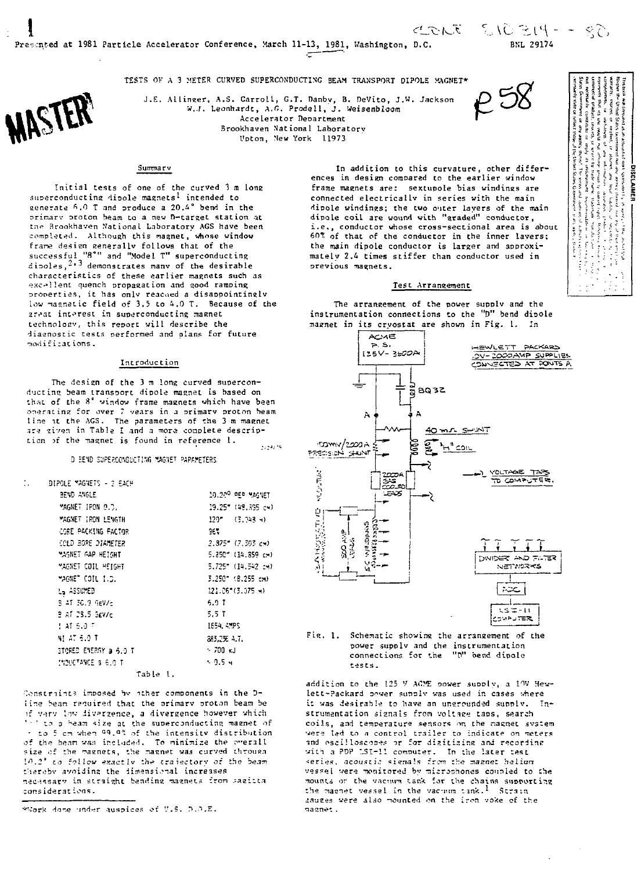TESTS OF A 3 METER CURVED SUPERCONDUCTING BEAM TRANSPORT DIPOLE MAGNET\*



J.E. Allinger, A.S. Carroll, G.T. Danby, B. DeVito, J.W. Jackson W.J. Leonhardt, A.G. Prodell, J. Weisenbloom Accelerator Department Brookhaven National Laboratory Unton, New York 11973

# Summarv

Initial tests of one of the curved 3 m long superconducting dipole magnets<sup>1</sup> intended to eenerate 6.0 T and produce a 20.4° bend in the primary proton beam to a new D-target station at the Brookhaven National Laboratory AGS have been completed. Although this magnet, whose window frame design generally follows that of the successful "8°" and "Model T" superconducting  $\frac{1}{2}$  alleges  $\frac{1}{2}$ ,  $\frac{1}{2}$  demonstrates many of the desirable characteristics of these earlier magnets such as excellent quench propagation and good ramping properties, it has only reached a disappointingly low magnatic field of 3.5 to 4.0 T. Because of the areat interest in superconducting magnet technology, this report will describe the diagnostic tests performed and plans for future modifications.

### Introduction

The design of the 3 m long curved superconducting beam transport dipole magnet is based on that of the 8° window frame magnets which have been operating for over 7 years in a primary proton beam line it the AGS. The parameters of the 3 m magnet are given in Table I and a more complete description of the magnet is found in reference 1. 5754719

#### D BEND SUPERCONDUCTING MAGNET PAPAMETERS

**DISOLE MACHETE** - A CAPIT

| alface multiple fines  |                       |
|------------------------|-----------------------|
| BEND ANGLE             | 10.200 PER MAGNET     |
| MAGNET IPON 0.0.       | 19.25" (48.395 cm)    |
| MAGNET IRON LENGTH     | $120''$ $(3.743 - 1)$ |
| CORE PACKING FACTOR    | 96.                   |
| COLD BORE DIAMETER     | $2.375''$ (7.303 cm)  |
| MASNET GAP HEIGHT      | 5.850" (14.359 cm)    |
| MAGNET COIL HEIGHT     | 5.725" (14.542 cm)    |
| MAGNET COIL I.D.       | 3.250" (8.255 cm)     |
| L <sub>a</sub> Assumed | $121.06"$ (3.075 m)   |
| 3-41-30.9-GeV/c        | 6.9 T                 |
| 3 AF 28.5 GeV/c        | 5.5 T                 |
| 1 AT 5.0 T             | 1654. AMPS            |
| NE AT 6.0 T            | 883.25E A.T.          |
| STORED ENERGY a 6.0 T  | ∵700 kJ               |
| INDUCTANCE 9 6.0 T     | $1.5 +$               |
| Table 1.               |                       |

Constraints imposed by ather components in the Dline beam required that the primary proton beam be of very low divergence, a divergence however which 'i' to a heam size at the superconducting magnet of in to 5 cm when 99.9% of the intensity distribution of the beam was included. To minimize the overall size of the magnets, the magnet was curved through 10.2° to follow exactly the traiectory of the beam thereby avoiding the dimensional increases necessary in straight bending magnets from sagitta considerations.

In addition to this curvature, other differences in design compared to the earlier window frame magnets are: sextupole bias windings are connected electrically in series with the main dipole windings; the two outer lavers of the main dipole coil are wound with "graded" conductor, i.e., conductor whose cross-sectional area is about 60% of that of the conductor in the inner lavers: the main dipole conductor is larger and approximately 2.4 times stiffer than conductor used in previous magnets.

#### Test Arrangement

The arrangement of the nover supply and the instrumentation connections to the "D" bend dipole magnet in its cryostat are shown in Fig. 1. In





addition to the 125 V ACME power supply, a 10V Hewlett-Packard power supply was used in cases where it was desirable to have an ungrounded supply. Instrumentation signals from voltage taps, search coils, and temperature sensors on the magnet system were led to a control trailer to indicate on meters and oscilloscopes or for digitizing and recording with a PDP USI-11 computer. In the later test series, acoustic signals from the magnet helium vessel were monitored by microphones coupled to the mounts or the vacuum tank for the chains supporting the magnet vessel in the vacuum tank.<sup>1</sup> Strain gauges were also mounted on the iron voke of the dagnat.

 $SS = -915003737$ BNL 29174

Î,

in San<br>San

Ī

ğ

રરે

k

**DISCLAIMER** 

 $\begin{aligned} \mathbf{w} & \mathbf{w} & \mathbf{w} \\ & \mathbf{w} & \mathbf{w} \end{aligned} \quad \begin{aligned} \mathbf{w} & \mathbf{w} & \mathbf{w} \\ & \mathbf{w} & \mathbf{w} & \mathbf{w} \\ & \mathbf{w} & \mathbf{w} & \mathbf{w} \end{aligned} \quad \begin{aligned} \mathbf{w} & \mathbf{w} & \mathbf{w} & \mathbf{w} \\ & \mathbf{w} & \mathbf{w} & \mathbf{w} & \mathbf{w} \\ & \mathbf{w} & \mathbf{w} & \mathbf{w} & \mathbf{w} \\ & \mathbf{w$ 

ē by trafe rainer 1<br>C. The work and<br>S. The work and

giorg

**The office** 

ŦĨ

Ż š ş. ă

espri ali age.<br>Ali paraggas

nistra<br>S

<sup>\*</sup>Work done under auspices of U.S. D.O.E.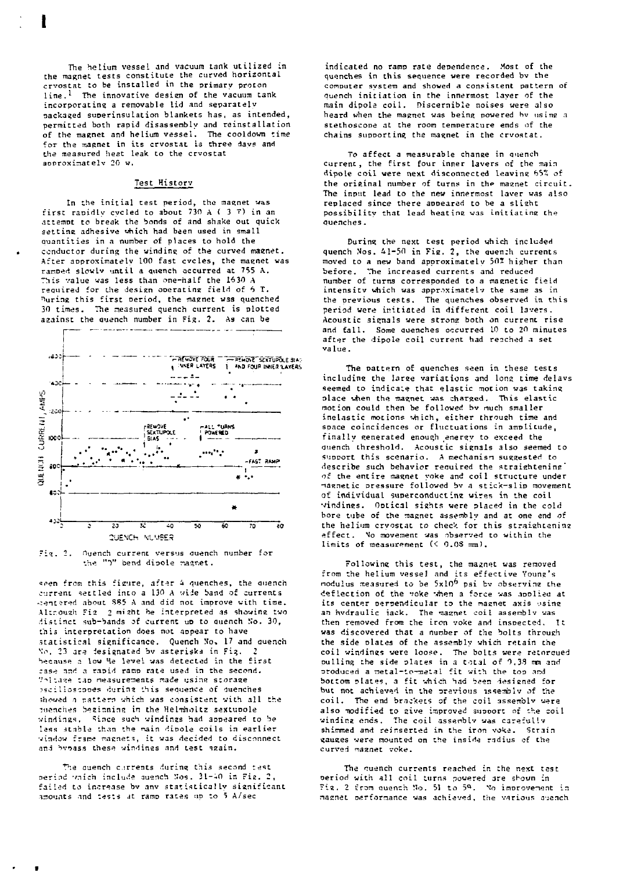The helium vessel and vacuum tank utilized in the magnet tests constitute the curved horizontal cryostat to be installed in the primary proton line.<sup>1</sup> The innovative design of the vacuum tank incorporating a removable lid and separately packaged superinsulation blankets has, as intended, permitted both rapid disassembly and reinstallation of the magnet and helium vessel. The cooldown time for the magnet in its cryostat is three days and the measured heat leak to the cryostat approximately 20 w.

## Test History

In the initial test period, the magnet was first rapidly cycled to about 730 A ( $3T$ ) in an attempt to break the bonds of and shake out quick setting adhesive which had been used in small quantities in a number of places to hold the conductor during the winding of the curved magnet. After approximately 100 fast cycles, the magnet was ramped slowly until a quench accurred at 755 A. This value was less than one-half the 1630 A required for the design operating field of 6 T. During this first period, the magnet was quenched 30 times. The measured quench current is plotted against the quench number in Fig. 2. As can be



Fig. 2. Ogench current versus quench number for the "7" bend dipole magnet.

seen from this figure, after 4 quenches, the quench current settled into a 130 A wide band of currents sentered about 885 A and did not improve with time. Although Fig. 2 might be interpreted as showing two distinct sub-bands of current up to quench No. 30, this interpretation does not appear to have statistical significance. Quench No. 17 and quench No. 23 are designated by asterisks in Fig. 2 because a low He level was detected in the first case and a rapid ramp rate used in the second. Voltage tap measurements made using storage iscilloscopes during this sequence of quenches showed a pattern which was consistent with all the menches beginning in the Helmoltz sextupole windings, Since such windings had appeared to be less stable than the main dibole coils in earlier vindow frame magnets, it was decided to disconnect and bypass these windings and test again.

The quench currents during this second test period vaich include suench Sos. 31-40 in Fig. 2. failed to increase by any statistically significant amounts and tests at ramp rates up to 5 A/sec

indicated no ramp rate dependence. Most of the quenches in this sequence were recorded by the computer system and showed a consistent pattern of quench initiation in the innermost layer of the main dipole coil. Discernible noises were also heard when the magnet was being powered by using a stethoscope at the room temperature ends of the chains supporting the magnet in the cryostat.

To affect a measurable change in quench current, the first four inner lavers of the main dipole coil were next disconnected leaving 65% of the original number of turns in the magnet circuit. The input lead to the new innermost laver was also replaced since there appeared to be a slight possibility that lead heating was initiating the quenches.

During the next test period which included quench Nos. 41-50 in Fig. 2, the quench currents moved to a new band approximately 50% higher than before. The increased currents and reduced number of turns corresponded to a magnetic field intensity which was approximately the same as in the previous tests. The quenches observed in this period were initiated in different coil lavers. Acoustic signals were strong both on current rise and fall. Some quenches occurred 10 to 20 minutes after the dipole coil current had reached a set value.

The pattern of quenches seen in these tests including the large variations and long time delays seemed to indicate that elastic motion was taking place when the magnet was charged. This elastic motion could then be followed by much smaller inelastic motions which, either through time and space coincidences or fluctuations in amplitude, finally generated enough energy to exceed the quench threshold. Acoustic signals also seemed to support this scenario. A mechanism suggested to describe such behavior required the straightening of the entire magnet yoke and coil structure under magnetic pressure followed by a stick-slip movement of individual superconducting wires in the coil vindings. Optical sights were placed in the cold bore tube of the magnet assembly and at one end of the helium cryostat to check for this straightening effect. No movement was observed to within the limits of measurement  $($   $0.08$  mm).

Following this test, the magnet was removed from the helium vessel and its effective Young's modulus measured to be 5x10<sup>6</sup> psi by observing the deflection of the voke when a force was applied at its center perpendicular to the magnet axis using an hydraulic jack. The magnet coil assembly was then removed from the iron voke and inspected. It was discovered that a number of the bolts through the side plates of the assembly which retain the coil windings were loose. The bolts were retorqued pulling the side plates in a total of 0.38 mm and produced a metal-to-matal fit with the top and bortom plates, a fit which had been designed for but not achieved in the previous issembly of the coil. The end brackets of the coil assembly were also modified to give improved support of the coil winding ends. The coil assembly was carefully shimmed and reinserted in the iron voke. Strain gauges were mounted on the inside radius of the curved maznet voke.

The quench currents reached in the next test period with all coil turns powered are shown in Fig. 2 from quench No. 51 to 59. No improvement in magnet performance was achieved, the various quench